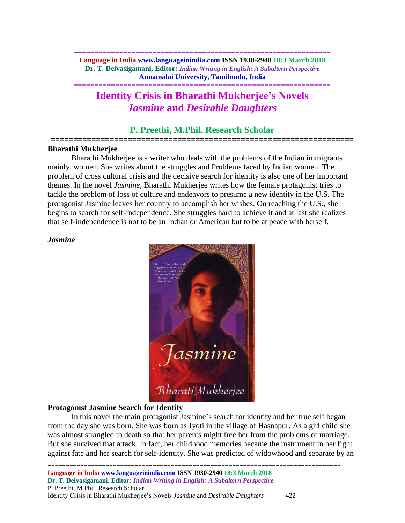**============================================================== Language in India www.languageinindia.com ISSN 1930-2940 18:3 March 2018 Dr. T. Deivasigamani, Editor:** *Indian Writing in English: A Subaltern Perspective* **Annamalai University, Tamilnadu, India**

**==============================================================**

# **Identity Crisis in Bharathi Mukherjee's Novels**  *Jasmine* **and** *Desirable Daughters*

# **P. Preethi, M.Phil. Research Scholar ===================================================================**

## **Bharathi Mukherjee**

Bharathi Mukherjee is a writer who deals with the problems of the Indian immigrants mainly, women. She writes about the struggles and Problems faced by Indian women. The problem of cross cultural crisis and the decisive search for identity is also one of her important themes. In the novel *Jasmine*, Bharathi Mukherjee writes how the female protagonist tries to tackle the problem of loss of culture and endeavors to presume a new identity in the U.S. The protagonist Jasmine leaves her country to accomplish her wishes. On reaching the U.S., she begins to search for self-independence. She struggles hard to achieve it and at last she realizes that self-independence is not to be an Indian or American but to be at peace with herself.

## *Jasmine*



## **Protagonist Jasmine Search for Identity**

In this novel the main protagonist Jasmine's search for identity and her true self began from the day she was born. She was born as Jyoti in the village of Hasnapur. As a girl child she was almost strangled to death so that her parents might free her from the problems of marriage. But she survived that attack. In fact, her childhood memories became the instrument in her fight against fate and her search for self-identity. She was predicted of widowhood and separate by an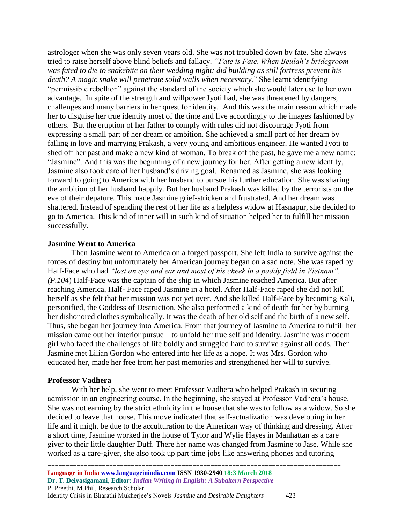astrologer when she was only seven years old. She was not troubled down by fate. She always tried to raise herself above blind beliefs and fallacy. *"Fate is Fate*, *When Beulah's bridegroom was fated to die to snakebite on their wedding night; did building as still fortress prevent his death? A magic snake will penetrate solid walls when necessary.*" She learnt identifying "permissible rebellion" against the standard of the society which she would later use to her own advantage. In spite of the strength and willpower Jyoti had, she was threatened by dangers, challenges and many barriers in her quest for identity. And this was the main reason which made her to disguise her true identity most of the time and live accordingly to the images fashioned by others. But the eruption of her father to comply with rules did not discourage Jyoti from expressing a small part of her dream or ambition. She achieved a small part of her dream by falling in love and marrying Prakash, a very young and ambitious engineer. He wanted Jyoti to shed off her past and make a new kind of woman. To break off the past, he gave me a new name: "Jasmine". And this was the beginning of a new journey for her. After getting a new identity, Jasmine also took care of her husband's driving goal. Renamed as Jasmine, she was looking forward to going to America with her husband to pursue his further education. She was sharing the ambition of her husband happily. But her husband Prakash was killed by the terrorists on the eve of their depature. This made Jasmine grief-stricken and frustrated. And her dream was shattered. Instead of spending the rest of her life as a helpless widow at Hasnapur, she decided to go to America. This kind of inner will in such kind of situation helped her to fulfill her mission successfully.

#### **Jasmine Went to America**

Then Jasmine went to America on a forged passport. She left India to survive against the forces of destiny but unfortunately her American journey began on a sad note. She was raped by Half-Face who had *"lost an eye and ear and most of his cheek in a paddy field in Vietnam". (P.104*) Half-Face was the captain of the ship in which Jasmine reached America. But after reaching America, Half- Face raped Jasmine in a hotel. After Half-Face raped she did not kill herself as she felt that her mission was not yet over. And she killed Half-Face by becoming Kali, personified, the Goddess of Destruction. She also performed a kind of death for her by burning her dishonored clothes symbolically. It was the death of her old self and the birth of a new self. Thus, she began her journey into America. From that journey of Jasmine to America to fulfill her mission came out her interior pursue – to unfold her true self and identity. Jasmine was modern girl who faced the challenges of life boldly and struggled hard to survive against all odds. Then Jasmine met Lilian Gordon who entered into her life as a hope. It was Mrs. Gordon who educated her, made her free from her past memories and strengthened her will to survive.

#### **Professor Vadhera**

With her help, she went to meet Professor Vadhera who helped Prakash in securing admission in an engineering course. In the beginning, she stayed at Professor Vadhera's house. She was not earning by the strict ethnicity in the house that she was to follow as a widow. So she decided to leave that house. This move indicated that self-actualization was developing in her life and it might be due to the acculturation to the American way of thinking and dressing. After a short time, Jasmine worked in the house of Tylor and Wylie Hayes in Manhattan as a care giver to their little daughter Duff. There her name was changed from Jasmine to Jase. While she worked as a care-giver, she also took up part time jobs like answering phones and tutoring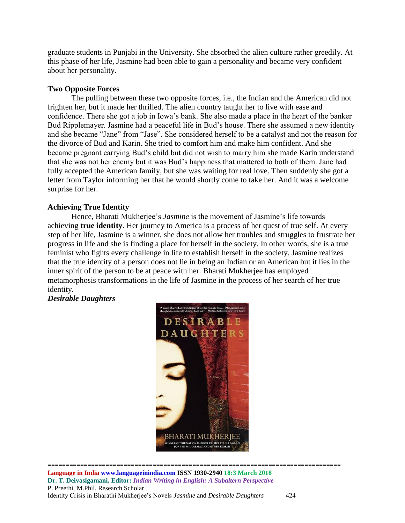graduate students in Punjabi in the University. She absorbed the alien culture rather greedily. At this phase of her life, Jasmine had been able to gain a personality and became very confident about her personality.

## **Two Opposite Forces**

The pulling between these two opposite forces, i.e., the Indian and the American did not frighten her, but it made her thrilled. The alien country taught her to live with ease and confidence. There she got a job in Iowa's bank. She also made a place in the heart of the banker Bud Ripplemayer. Jasmine had a peaceful life in Bud's house. There she assumed a new identity and she became "Jane" from "Jase". She considered herself to be a catalyst and not the reason for the divorce of Bud and Karin. She tried to comfort him and make him confident. And she became pregnant carrying Bud's child but did not wish to marry him she made Karin understand that she was not her enemy but it was Bud's happiness that mattered to both of them. Jane had fully accepted the American family, but she was waiting for real love. Then suddenly she got a letter from Taylor informing her that he would shortly come to take her. And it was a welcome surprise for her.

## **Achieving True Identity**

Hence, Bharati Mukherjee's *Jasmine* is the movement of Jasmine's life towards achieving **true identity**. Her journey to America is a process of her quest of true self. At every step of her life, Jasmine is a winner, she does not allow her troubles and struggles to frustrate her progress in life and she is finding a place for herself in the society. In other words, she is a true feminist who fights every challenge in life to establish herself in the society. Jasmine realizes that the true identity of a person does not lie in being an Indian or an American but it lies in the inner spirit of the person to be at peace with her. Bharati Mukherjee has employed metamorphosis transformations in the life of Jasmine in the process of her search of her true identity.

## *Desirable Daughters*

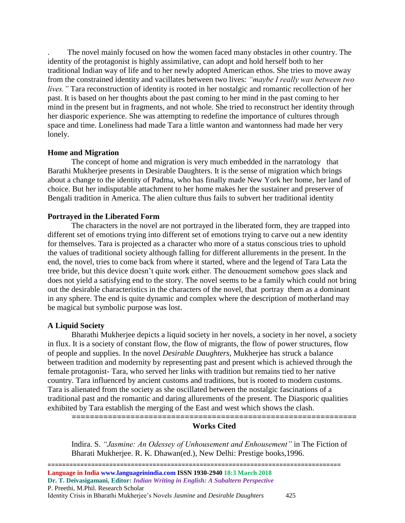. The novel mainly focused on how the women faced many obstacles in other country. The identity of the protagonist is highly assimilative, can adopt and hold herself both to her traditional Indian way of life and to her newly adopted American ethos. She tries to move away from the constrained identity and vacillates between two lives: *"maybe I really was between two lives."* Tara reconstruction of identity is rooted in her nostalgic and romantic recollection of her past. It is based on her thoughts about the past coming to her mind in the past coming to her mind in the present but in fragments, and not whole. She tried to reconstruct her identity through her diasporic experience. She was attempting to redefine the importance of cultures through space and time. Loneliness had made Tara a little wanton and wantonness had made her very lonely.

#### **Home and Migration**

The concept of home and migration is very much embedded in the narratology that Barathi Mukherjee presents in Desirable Daughters. It is the sense of migration which brings about a change to the identity of Padma, who has finally made New York her home, her land of choice. But her indisputable attachment to her home makes her the sustainer and preserver of Bengali tradition in America. The alien culture thus fails to subvert her traditional identity

#### **Portrayed in the Liberated Form**

The characters in the novel are not portrayed in the liberated form, they are trapped into different set of emotions trying into different set of emotions trying to carve out a new identity for themselves. Tara is projected as a character who more of a status conscious tries to uphold the values of traditional society although falling for different allurements in the present. In the end, the novel, tries to come back from where it started, where and the legend of Tara Lata the tree bride, but this device doesn't quite work either. The denouement somehow goes slack and does not yield a satisfying end to the story. The novel seems to be a family which could not bring out the desirable characteristics in the characters of the novel, that portray them as a dominant in any sphere. The end is quite dynamic and complex where the description of motherland may be magical but symbolic purpose was lost.

#### **A Liquid Society**

Bharathi Mukherjee depicts a liquid society in her novels, a society in her novel, a society in flux. It is a society of constant flow, the flow of migrants, the flow of power structures, flow of people and supplies. In the novel *Desirable Daughters*, Mukherjee has struck a balance between tradition and modernity by representing past and present which is achieved through the female protagonist- Tara, who served her links with tradition but remains tied to her native country. Tara influenced by ancient customs and traditions, but is rooted to modern customs. Tara is alienated from the society as she oscillated between the nostalgic fascinations of a traditional past and the romantic and daring allurements of the present. The Diasporic qualities exhibited by Tara establish the merging of the East and west which shows the clash.

**===============================================================**

## **Works Cited**

Indira. S. *"Jasmine: An Odessey of Unhousement and Enhousement"* in The Fiction of Bharati Mukherjee. R. K. Dhawan(ed.), New Delhi: Prestige books,1996.